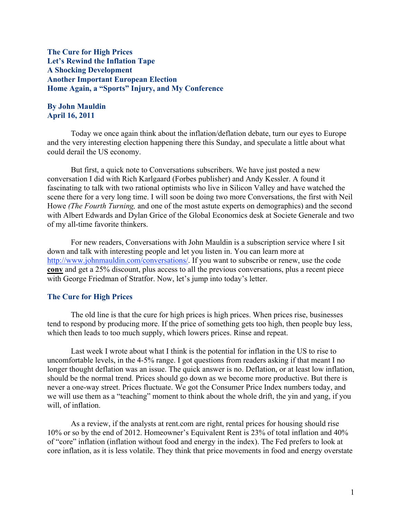The Cure for High Prices Let's Rewind the Inflation Tape A Shocking Development Another Important European Election Home Again, a "Sports" Injury, and My Conference

# By John Mauldin April 16, 2011

Today we once again think about the inflation/deflation debate, turn our eyes to Europe and the very interesting election happening there this Sunday, and speculate a little about what could derail the US economy.

But first, a quick note to Conversations subscribers. We have just posted a new conversation I did with Rich Karlgaard (Forbes publisher) and Andy Kessler. A found it fascinating to talk with two rational optimists who live in Silicon Valley and have watched the scene there for a very long time. I will soon be doing two more Conversations, the first with Neil Howe *(The Fourth Turning,* and one of the most astute experts on demographics) and the second with Albert Edwards and Dylan Grice of the Global Economics desk at Societe Generale and two of my all-time favorite thinkers.

For new readers, Conversations with John Mauldin is a subscription service where I sit down and talk with interesting people and let you listen in. You can learn more at http://www.johnmauldin.com/conversations/. If you want to subscribe or renew, use the code conv and get a 25% discount, plus access to all the previous conversations, plus a recent piece with George Friedman of Stratfor. Now, let's jump into today's letter.

### The Cure for High Prices

The old line is that the cure for high prices is high prices. When prices rise, businesses tend to respond by producing more. If the price of something gets too high, then people buy less, which then leads to too much supply, which lowers prices. Rinse and repeat.

Last week I wrote about what I think is the potential for inflation in the US to rise to uncomfortable levels, in the 4-5% range. I got questions from readers asking if that meant I no longer thought deflation was an issue. The quick answer is no. Deflation, or at least low inflation, should be the normal trend. Prices should go down as we become more productive. But there is never a one-way street. Prices fluctuate. We got the Consumer Price Index numbers today, and we will use them as a "teaching" moment to think about the whole drift, the yin and yang, if you will, of inflation.

As a review, if the analysts at rent.com are right, rental prices for housing should rise 10% or so by the end of 2012. Homeowner's Equivalent Rent is 23% of total inflation and 40% of "core" inflation (inflation without food and energy in the index). The Fed prefers to look at core inflation, as it is less volatile. They think that price movements in food and energy overstate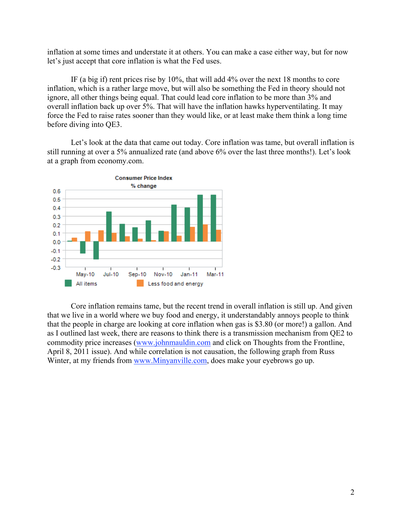inflation at some times and understate it at others. You can make a case either way, but for now let's just accept that core inflation is what the Fed uses.

IF (a big if) rent prices rise by 10%, that will add 4% over the next 18 months to core inflation, which is a rather large move, but will also be something the Fed in theory should not ignore, all other things being equal. That could lead core inflation to be more than 3% and overall inflation back up over 5%. That will have the inflation hawks hyperventilating. It may force the Fed to raise rates sooner than they would like, or at least make them think a long time before diving into QE3.

Let's look at the data that came out today. Core inflation was tame, but overall inflation is still running at over a 5% annualized rate (and above 6% over the last three months!). Let's look at a graph from economy.com.



Core inflation remains tame, but the recent trend in overall inflation is still up. And given that we live in a world where we buy food and energy, it understandably annoys people to think that the people in charge are looking at core inflation when gas is \$3.80 (or more!) a gallon. And as I outlined last week, there are reasons to think there is a transmission mechanism from QE2 to commodity price increases (www.johnmauldin.com and click on Thoughts from the Frontline, April 8, 2011 issue). And while correlation is not causation, the following graph from Russ Winter, at my friends from www.Minyanville.com, does make your eyebrows go up.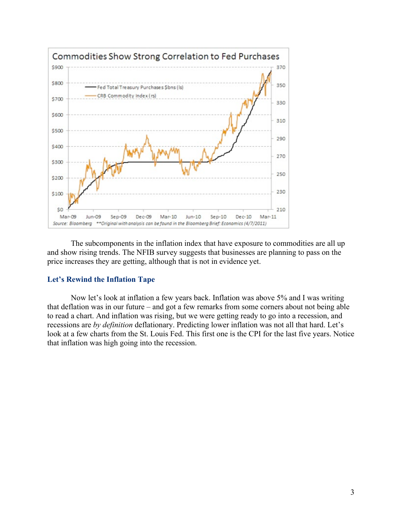

The subcomponents in the inflation index that have exposure to commodities are all up and show rising trends. The NFIB survey suggests that businesses are planning to pass on the price increases they are getting, although that is not in evidence yet.

# Let's Rewind the Inflation Tape

Now let's look at inflation a few years back. Inflation was above 5% and I was writing that deflation was in our future – and got a few remarks from some corners about not being able to read a chart. And inflation was rising, but we were getting ready to go into a recession, and recessions are *by definition* deflationary. Predicting lower inflation was not all that hard. Let's look at a few charts from the St. Louis Fed. This first one is the CPI for the last five years. Notice that inflation was high going into the recession.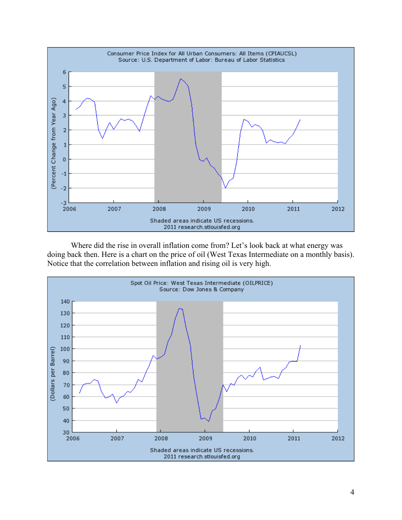

Where did the rise in overall inflation come from? Let's look back at what energy was doing back then. Here is a chart on the price of oil (West Texas Intermediate on a monthly basis). Notice that the correlation between inflation and rising oil is very high.

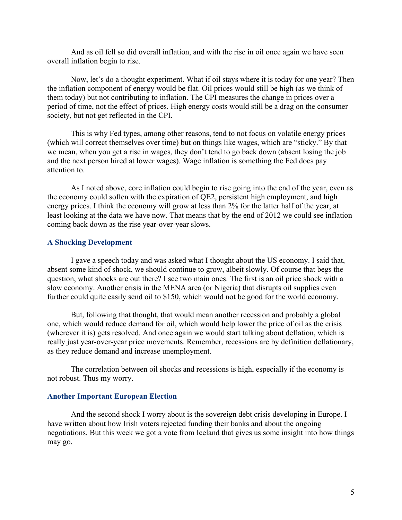And as oil fell so did overall inflation, and with the rise in oil once again we have seen overall inflation begin to rise.

Now, let's do a thought experiment. What if oil stays where it is today for one year? Then the inflation component of energy would be flat. Oil prices would still be high (as we think of them today) but not contributing to inflation. The CPI measures the change in prices over a period of time, not the effect of prices. High energy costs would still be a drag on the consumer society, but not get reflected in the CPI.

This is why Fed types, among other reasons, tend to not focus on volatile energy prices (which will correct themselves over time) but on things like wages, which are "sticky." By that we mean, when you get a rise in wages, they don't tend to go back down (absent losing the job and the next person hired at lower wages). Wage inflation is something the Fed does pay attention to.

As I noted above, core inflation could begin to rise going into the end of the year, even as the economy could soften with the expiration of QE2, persistent high employment, and high energy prices. I think the economy will grow at less than 2% for the latter half of the year, at least looking at the data we have now. That means that by the end of 2012 we could see inflation coming back down as the rise year-over-year slows.

## A Shocking Development

I gave a speech today and was asked what I thought about the US economy. I said that, absent some kind of shock, we should continue to grow, albeit slowly. Of course that begs the question, what shocks are out there? I see two main ones. The first is an oil price shock with a slow economy. Another crisis in the MENA area (or Nigeria) that disrupts oil supplies even further could quite easily send oil to \$150, which would not be good for the world economy.

But, following that thought, that would mean another recession and probably a global one, which would reduce demand for oil, which would help lower the price of oil as the crisis (wherever it is) gets resolved. And once again we would start talking about deflation, which is really just year-over-year price movements. Remember, recessions are by definition deflationary, as they reduce demand and increase unemployment.

The correlation between oil shocks and recessions is high, especially if the economy is not robust. Thus my worry.

### Another Important European Election

And the second shock I worry about is the sovereign debt crisis developing in Europe. I have written about how Irish voters rejected funding their banks and about the ongoing negotiations. But this week we got a vote from Iceland that gives us some insight into how things may go.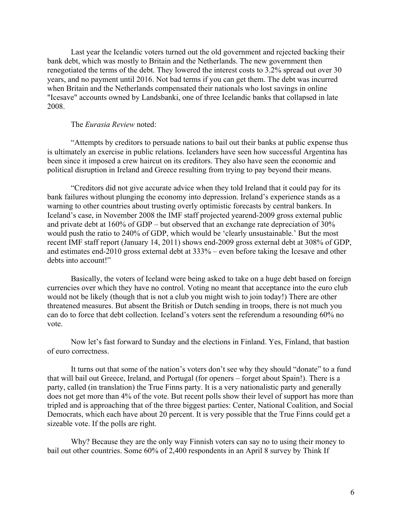Last year the Icelandic voters turned out the old government and rejected backing their bank debt, which was mostly to Britain and the Netherlands. The new government then renegotiated the terms of the debt. They lowered the interest costs to 3.2% spread out over 30 years, and no payment until 2016. Not bad terms if you can get them. The debt was incurred when Britain and the Netherlands compensated their nationals who lost savings in online "Icesave" accounts owned by Landsbanki, one of three Icelandic banks that collapsed in late 2008.

### The *Eurasia Review* noted:

"Attempts by creditors to persuade nations to bail out their banks at public expense thus is ultimately an exercise in public relations. Icelanders have seen how successful Argentina has been since it imposed a crew haircut on its creditors. They also have seen the economic and political disruption in Ireland and Greece resulting from trying to pay beyond their means.

"Creditors did not give accurate advice when they told Ireland that it could pay for its bank failures without plunging the economy into depression. Ireland's experience stands as a warning to other countries about trusting overly optimistic forecasts by central bankers. In Iceland's case, in November 2008 the IMF staff projected yearend-2009 gross external public and private debt at 160% of GDP – but observed that an exchange rate depreciation of 30% would push the ratio to 240% of GDP, which would be 'clearly unsustainable.' But the most recent IMF staff report (January 14, 2011) shows end-2009 gross external debt at 308% of GDP, and estimates end-2010 gross external debt at 333% – even before taking the Icesave and other debts into account!"

Basically, the voters of Iceland were being asked to take on a huge debt based on foreign currencies over which they have no control. Voting no meant that acceptance into the euro club would not be likely (though that is not a club you might wish to join today!) There are other threatened measures. But absent the British or Dutch sending in troops, there is not much you can do to force that debt collection. Iceland's voters sent the referendum a resounding 60% no vote.

Now let's fast forward to Sunday and the elections in Finland. Yes, Finland, that bastion of euro correctness.

It turns out that some of the nation's voters don't see why they should "donate" to a fund that will bail out Greece, Ireland, and Portugal (for openers – forget about Spain!). There is a party, called (in translation) the True Finns party. It is a very nationalistic party and generally does not get more than 4% of the vote. But recent polls show their level of support has more than tripled and is approaching that of the three biggest parties: Center, National Coalition, and Social Democrats, which each have about 20 percent. It is very possible that the True Finns could get a sizeable vote. If the polls are right.

Why? Because they are the only way Finnish voters can say no to using their money to bail out other countries. Some 60% of 2,400 respondents in an April 8 survey by Think If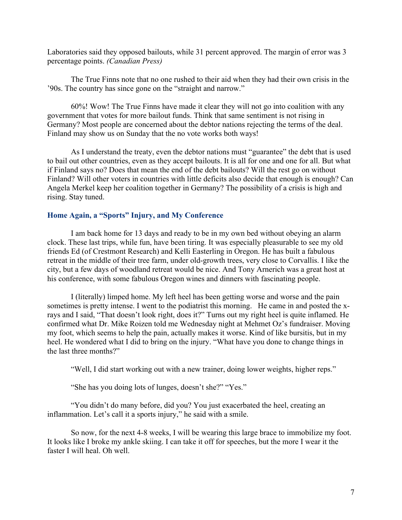Laboratories said they opposed bailouts, while 31 percent approved. The margin of error was 3 percentage points. *(Canadian Press)*

The True Finns note that no one rushed to their aid when they had their own crisis in the '90s. The country has since gone on the "straight and narrow."

60%! Wow! The True Finns have made it clear they will not go into coalition with any government that votes for more bailout funds. Think that same sentiment is not rising in Germany? Most people are concerned about the debtor nations rejecting the terms of the deal. Finland may show us on Sunday that the no vote works both ways!

As I understand the treaty, even the debtor nations must "guarantee" the debt that is used to bail out other countries, even as they accept bailouts. It is all for one and one for all. But what if Finland says no? Does that mean the end of the debt bailouts? Will the rest go on without Finland? Will other voters in countries with little deficits also decide that enough is enough? Can Angela Merkel keep her coalition together in Germany? The possibility of a crisis is high and rising. Stay tuned.

# Home Again, a "Sports" Injury, and My Conference

I am back home for 13 days and ready to be in my own bed without obeying an alarm clock. These last trips, while fun, have been tiring. It was especially pleasurable to see my old friends Ed (of Crestmont Research) and Kelli Easterling in Oregon. He has built a fabulous retreat in the middle of their tree farm, under old-growth trees, very close to Corvallis. I like the city, but a few days of woodland retreat would be nice. And Tony Arnerich was a great host at his conference, with some fabulous Oregon wines and dinners with fascinating people.

I (literally) limped home. My left heel has been getting worse and worse and the pain sometimes is pretty intense. I went to the podiatrist this morning. He came in and posted the xrays and I said, "That doesn't look right, does it?" Turns out my right heel is quite inflamed. He confirmed what Dr. Mike Roizen told me Wednesday night at Mehmet Oz's fundraiser. Moving my foot, which seems to help the pain, actually makes it worse. Kind of like bursitis, but in my heel. He wondered what I did to bring on the injury. "What have you done to change things in the last three months?"

"Well, I did start working out with a new trainer, doing lower weights, higher reps."

"She has you doing lots of lunges, doesn't she?" "Yes."

"You didn't do many before, did you? You just exacerbated the heel, creating an inflammation. Let's call it a sports injury," he said with a smile.

So now, for the next 4-8 weeks, I will be wearing this large brace to immobilize my foot. It looks like I broke my ankle skiing. I can take it off for speeches, but the more I wear it the faster I will heal. Oh well.